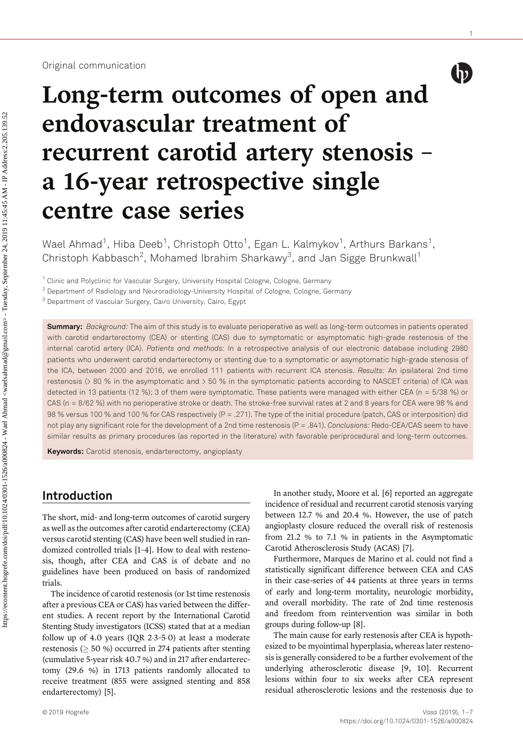#### Original communication

 $\left(\mathbf{p}\right)$ 

1

# Long-term outcomes of open and endovascular treatment of recurrent carotid artery stenosis – a 16-year retrospective single centre case series

Wael Ahmad $^1$ , Hiba Deeb $^1$ , Christoph Otto $^1$ , Egan L. Kalmykov $^1$ , Arthurs Barkans $^1$ , Christoph Kabbasch<sup>2</sup>, Mohamed Ibrahim Sharkawy<sup>3</sup>, and Jan Sigge Brunkwall<sup>1</sup>

<sup>1</sup> Clinic and Polyclinic for Vascular Surgery, University Hospital Cologne, Cologne, Germany

<sup>2</sup> Department of Radiology and Neuroradiology-University Hospital of Cologne, Cologne, Germany

<sup>3</sup> Department of Vascular Surgery, Cairo University, Cairo, Egypt

**Summary:** Background: The aim of this study is to evaluate perioperative as well as long-term outcomes in patients operated with carotid endarterectomy (CEA) or stenting (CAS) due to symptomatic or asymptomatic high-grade restenosis of the internal carotid artery (ICA). Patients and methods: In a retrospective analysis of our electronic database including 2980 patients who underwent carotid endarterectomy or stenting due to a symptomatic or asymptomatic high-grade stenosis of the ICA, between 2000 and 2016, we enrolled 111 patients with recurrent ICA stenosis. Results: An ipsilateral 2nd time restenosis (> 80 % in the asymptomatic and > 50 % in the symptomatic patients according to NASCET criteria) of ICA was detected in 13 patients (12 %); 3 of them were symptomatic. These patients were managed with either CEA (n =  $5/38$  %) or CAS (n = 8/62 %) with no perioperative stroke or death. The stroke-free survival rates at 2 and 8 years for CEA were 98 % and 98 % versus 100 % and 100 % for CAS respectively (P = .271). The type of the initial procedure (patch, CAS or interposition) did not play any significant role for the development of a 2nd time restenosis (P = .841). Conclusions: Redo-CEA/CAS seem to have similar results as primary procedures (as reported in the literature) with favorable periprocedural and long-term outcomes.

Keywords: Carotid stenosis, endarterectomy, angioplasty

## Introduction

The short, mid- and long-term outcomes of carotid surgery as well as the outcomes after carotid endarterectomy (CEA) versus carotid stenting (CAS) have been well studied in randomized controlled trials [1–4]. How to deal with restenosis, though, after CEA and CAS is of debate and no guidelines have been produced on basis of randomized trials.

The incidence of carotid restenosis (or 1st time restenosis after a previous CEA or CAS) has varied between the different studies. A recent report by the International Carotid Stenting Study investigators (ICSS) stated that at a median follow up of 4.0 years (IQR  $2.3-5.0$ ) at least a moderate restenosis ( $> 50 \%$ ) occurred in 274 patients after stenting (cumulative 5-year risk 40.7 %) and in 217 after endarterectomy (29.6 %) in 1713 patients randomly allocated to receive treatment (855 were assigned stenting and 858 endarterectomy) [5].

In another study, Moore et al. [6] reported an aggregate incidence of residual and recurrent carotid stenosis varying between 12.7 % and 20.4 %. However, the use of patch angioplasty closure reduced the overall risk of restenosis from 21.2 % to 7.1 % in patients in the Asymptomatic Carotid Atherosclerosis Study (ACAS) [7].

Furthermore, Marques de Marino et al. could not find a statistically significant difference between CEA and CAS in their case-series of 44 patients at three years in terms of early and long-term mortality, neurologic morbidity, and overall morbidity. The rate of 2nd time restenosis and freedom from reintervention was similar in both groups during follow-up [8].

The main cause for early restenosis after CEA is hypothesized to be myointimal hyperplasia, whereas later restenosis is generally considered to be a further evolvement of the underlying atherosclerotic disease [9, 10]. Recurrent lesions within four to six weeks after CEA represent residual atherosclerotic lesions and the restenosis due to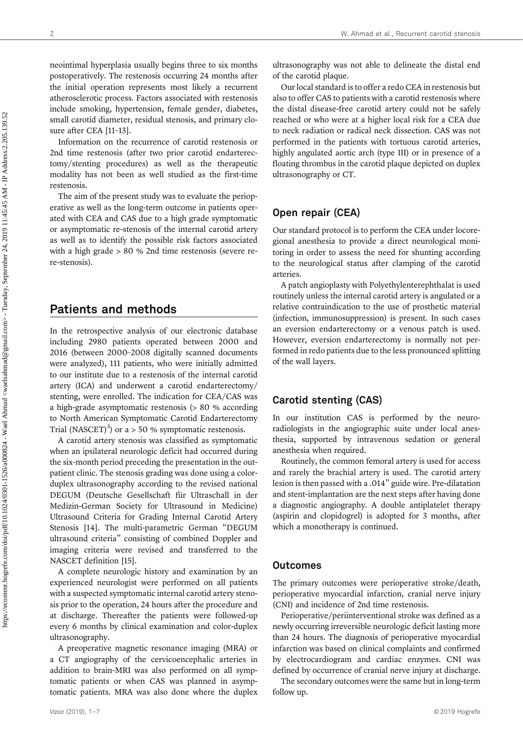neointimal hyperplasia usually begins three to six months postoperatively. The restenosis occurring 24 months after the initial operation represents most likely a recurrent atherosclerotic process. Factors associated with restenosis include smoking, hypertension, female gender, diabetes, small carotid diameter, residual stenosis, and primary closure after CEA [11–13].

Information on the recurrence of carotid restenosis or 2nd time restenosis (after two prior carotid endarterectomy/stenting procedures) as well as the therapeutic modality has not been as well studied as the first-time restenosis.

The aim of the present study was to evaluate the perioperative as well as the long-term outcome in patients operated with CEA and CAS due to a high grade symptomatic or asymptomatic re-stenosis of the internal carotid artery as well as to identify the possible risk factors associated with a high grade > 80 % 2nd time restenosis (severe rere-stenosis).

## Patients and methods

In the retrospective analysis of our electronic database including 2980 patients operated between 2000 and 2016 (between 2000–2008 digitally scanned documents were analyzed), 111 patients, who were initially admitted to our institute due to a restenosis of the internal carotid artery (ICA) and underwent a carotid endarterectomy/ stenting, were enrolled. The indication for CEA/CAS was a high-grade asymptomatic restenosis (> 80 % according to North American Symptomatic Carotid Endarterectomy Trial (NASCET)<sup>3</sup>) or a  $> 50$  % symptomatic restenosis.

A carotid artery stenosis was classified as symptomatic when an ipsilateral neurologic deficit had occurred during the six-month period preceding the presentation in the outpatient clinic. The stenosis grading was done using a colorduplex ultrasonography according to the revised national DEGUM (Deutsche Gesellschaft für Ultraschall in der Medizin-German Society for Ultrasound in Medicine) Ultrasound Criteria for Grading Internal Carotid Artery Stenosis [14]. The multi-parametric German "DEGUM ultrasound criteria" consisting of combined Doppler and imaging criteria were revised and transferred to the NASCET definition [15].

A complete neurologic history and examination by an experienced neurologist were performed on all patients with a suspected symptomatic internal carotid artery stenosis prior to the operation, 24 hours after the procedure and at discharge. Thereafter the patients were followed-up every 6 months by clinical examination and color-duplex ultrasonography.

A preoperative magnetic resonance imaging (MRA) or a CT angiography of the cervicoencephalic arteries in addition to brain-MRI was also performed on all symptomatic patients or when CAS was planned in asymptomatic patients. MRA was also done where the duplex

ultrasonography was not able to delineate the distal end of the carotid plaque.

Our local standard is to offer a redo CEA in restenosis but also to offer CAS to patients with a carotid restenosis where the distal disease-free carotid artery could not be safely reached or who were at a higher local risk for a CEA due to neck radiation or radical neck dissection. CAS was not performed in the patients with tortuous carotid arteries, highly angulated aortic arch (type III) or in presence of a floating thrombus in the carotid plaque depicted on duplex ultrasonography or CT.

## Open repair (CEA)

Our standard protocol is to perform the CEA under locoregional anesthesia to provide a direct neurological monitoring in order to assess the need for shunting according to the neurological status after clamping of the carotid arteries.

A patch angioplasty with Polyethylenterephthalat is used routinely unless the internal carotid artery is angulated or a relative contraindication to the use of prosthetic material (infection, immunosuppression) is present. In such cases an eversion endarterectomy or a venous patch is used. However, eversion endarterectomy is normally not performed in redo patients due to the less pronounced splitting of the wall layers.

## Carotid stenting (CAS)

In our institution CAS is performed by the neuroradiologists in the angiographic suite under local anesthesia, supported by intravenous sedation or general anesthesia when required.

Routinely, the common femoral artery is used for access and rarely the brachial artery is used. The carotid artery lesion is then passed with a .014" guide wire. Pre-dilatation and stent-implantation are the next steps after having done a diagnostic angiography. A double antiplatelet therapy (aspirin and clopidogrel) is adopted for 3 months, after which a monotherapy is continued.

#### **Outcomes**

The primary outcomes were perioperative stroke/death, perioperative myocardial infarction, cranial nerve injury (CNI) and incidence of 2nd time restenosis.

Perioperative/periinterventional stroke was defined as a newly occurring irreversible neurologic deficit lasting more than 24 hours. The diagnosis of perioperative myocardial infarction was based on clinical complaints and confirmed by electrocardiogram and cardiac enzymes. CNI was defined by occurrence of cranial nerve injury at discharge.

The secondary outcomes were the same but in long-term follow up.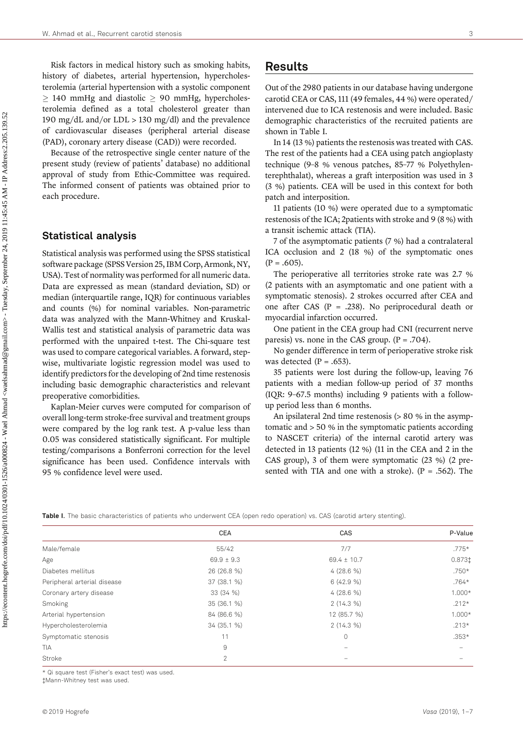Risk factors in medical history such as smoking habits, history of diabetes, arterial hypertension, hypercholesterolemia (arterial hypertension with a systolic component  $\geq$  140 mmHg and diastolic  $\geq$  90 mmHg, hypercholesterolemia defined as a total cholesterol greater than 190 mg/dL and/or LDL > 130 mg/dl) and the prevalence of cardiovascular diseases (peripheral arterial disease (PAD), coronary artery disease (CAD)) were recorded.

Because of the retrospective single center nature of the present study (review of patients' database) no additional approval of study from Ethic-Committee was required. The informed consent of patients was obtained prior to each procedure.

#### Statistical analysis

Statistical analysis was performed using the SPSS statistical software package (SPSS Version 25, IBM Corp, Armonk, NY, USA). Test of normality was performed for all numeric data. Data are expressed as mean (standard deviation, SD) or median (interquartile range, IQR) for continuous variables and counts (%) for nominal variables. Non-parametric data was analyzed with the Mann-Whitney and Kruskal-Wallis test and statistical analysis of parametric data was performed with the unpaired t-test. The Chi-square test was used to compare categorical variables. A forward, stepwise, multivariate logistic regression model was used to identify predictors for the developing of 2nd time restenosis including basic demographic characteristics and relevant preoperative comorbidities.

Kaplan-Meier curves were computed for comparison of overall long-term stroke-free survival and treatment groups were compared by the log rank test. A p-value less than 0.05 was considered statistically significant. For multiple testing/comparisons a Bonferroni correction for the level significance has been used. Confidence intervals with 95 % confidence level were used.

## Results

Out of the 2980 patients in our database having undergone carotid CEA or CAS, 111 (49 females, 44 %) were operated/ intervened due to ICA restenosis and were included. Basic demographic characteristics of the recruited patients are shown in Table I.

In 14 (13 %) patients the restenosis was treated with CAS. The rest of the patients had a CEA using patch angioplasty technique (9–8 % venous patches, 85–77 % Polyethylenterephthalat), whereas a graft interposition was used in 3 (3 %) patients. CEA will be used in this context for both patch and interposition.

11 patients (10 %) were operated due to a symptomatic restenosis of the ICA; 2patients with stroke and 9 (8 %) with a transit ischemic attack (TIA).

7 of the asymptomatic patients (7 %) had a contralateral ICA occlusion and 2 (18 %) of the symptomatic ones  $(P = .605)$ .

The perioperative all territories stroke rate was 2.7 % (2 patients with an asymptomatic and one patient with a symptomatic stenosis). 2 strokes occurred after CEA and one after CAS ( $P = .238$ ). No periprocedural death or myocardial infarction occurred.

One patient in the CEA group had CNI (recurrent nerve paresis) vs. none in the CAS group.  $(P = .704)$ .

No gender difference in term of perioperative stroke risk was detected  $(P = .653)$ .

35 patients were lost during the follow-up, leaving 76 patients with a median follow-up period of 37 months (IQR: 9–67.5 months) including 9 patients with a followup period less than 6 months.

An ipsilateral 2nd time restenosis (> 80 % in the asymptomatic and > 50 % in the symptomatic patients according to NASCET criteria) of the internal carotid artery was detected in 13 patients (12 %) (11 in the CEA and 2 in the CAS group), 3 of them were symptomatic (23 %) (2 presented with TIA and one with a stroke).  $(P = .562)$ . The

Table I. The basic characteristics of patients who underwent CEA (open redo operation) vs. CAS (carotid artery stenting)

|                             | CEA            | CAS             | P-Value  |  |
|-----------------------------|----------------|-----------------|----------|--|
| Male/female                 | 55/42          | 7/7             | $.775*$  |  |
| Age                         | $69.9 \pm 9.3$ | $69.4 \pm 10.7$ | 0.8731   |  |
| Diabetes mellitus           | 26 (26.8 %)    | $4(28.6\%)$     | $.750*$  |  |
| Peripheral arterial disease | 37 (38.1 %)    | $6(42.9\%)$     | $.764*$  |  |
| Coronary artery disease     | 33 (34 %)      | $4(28.6\%)$     | $1.000*$ |  |
| Smoking                     | 35 (36.1 %)    | $2(14.3\%)$     | $.212*$  |  |
| Arterial hypertension       | 84 (86.6 %)    | 12 (85.7 %)     | $1.000*$ |  |
| Hypercholesterolemia        | 34 (35.1 %)    | $2(14.3\%)$     | $.213*$  |  |
| Symptomatic stenosis        | 11             | $\circ$         | $.353*$  |  |
| <b>TIA</b>                  | 9              |                 |          |  |
| Stroke                      | $\overline{2}$ |                 |          |  |
|                             |                |                 |          |  |

\* Qi square test (Fisher's exact test) was used.

Mann-Whitney test was used.

 https://econtent.hogrefe.com/doi/pdf/10.1024/0301-1526/a000824 - Wael Ahmad <waelsahmad@gmail.com> - Tuesday, September 24, 2019 11:45:45 AM - IP Address:2.205.139.52 https://econtent.hogrefe.com/doi/pdf/I0.1024/0301-1526/a000824 - Wael Ahmad <waelsahmad@gmail.com> - Tuesday, September 24, 2019 11:45:45 AM - IP Address:2.205.139.52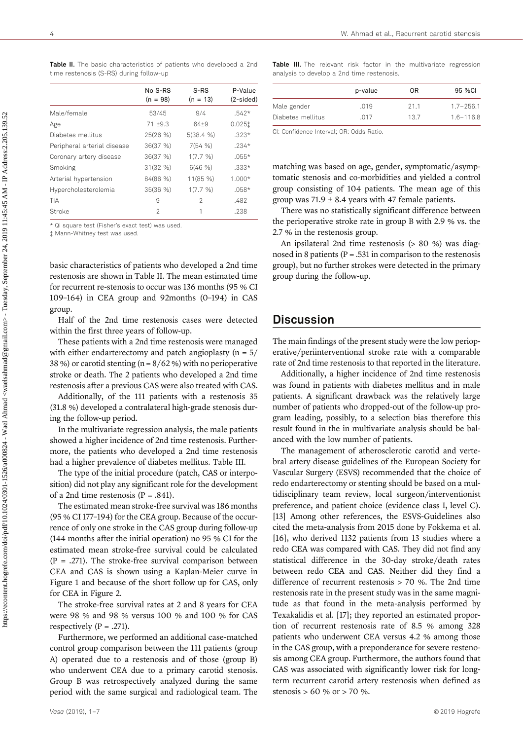|                             | No S-RS<br>$(n = 98)$ | S-RS<br>$(n = 13)$ | P-Value<br>$(2-sided)$ |
|-----------------------------|-----------------------|--------------------|------------------------|
| Male/female                 | 53/45                 | 9/4                | $.542*$                |
| Age                         | $71 + 9.3$            | 64+9               | 0.0251                 |
| Diabetes mellitus           | 25(26 %)              | 5(38.4 %)          | $.323*$                |
| Peripheral arterial disease | 36(37 %)              | 7(54%              | $.234*$                |
| Coronary artery disease     | 36(37 %)              | 1(7.7 %)           | $.055*$                |
| Smoking                     | 31(32 %)              | 6(46%)             | $.333*$                |
| Arterial hypertension       | 84(86 %)              | 11(85 %)           | $1.000*$               |
| Hypercholesterolemia        | 35(36%)               | 1(7.7 %)           | $.058*$                |
| TIA                         | 9                     | 2                  | .482                   |
| Stroke                      | 2                     |                    | .238                   |
|                             |                       |                    |                        |

Table II. The basic characteristics of patients who developed a 2nd time restenosis (S-RS) during follow-up

\* Qi square test (Fisher's exact test) was used.

Mann-Whitney test was used.

basic characteristics of patients who developed a 2nd time restenosis are shown in Table II. The mean estimated time for recurrent re-stenosis to occur was 136 months (95 % CI 109–164) in CEA group and 92months (0–194) in CAS group.

Half of the 2nd time restenosis cases were detected within the first three years of follow-up.

These patients with a 2nd time restenosis were managed with either endarterectomy and patch angioplasty ( $n = 5/$ 38 %) or carotid stenting ( $n = 8/62$ %) with no perioperative stroke or death. The 2 patients who developed a 2nd time restenosis after a previous CAS were also treated with CAS.

Additionally, of the 111 patients with a restenosis 35 (31.8 %) developed a contralateral high-grade stenosis during the follow-up period.

In the multivariate regression analysis, the male patients showed a higher incidence of 2nd time restenosis. Furthermore, the patients who developed a 2nd time restenosis had a higher prevalence of diabetes mellitus. Table III.

The type of the initial procedure (patch, CAS or interposition) did not play any significant role for the development of a 2nd time restenosis  $(P = .841)$ .

The estimated mean stroke-free survival was 186 months (95 % CI 177–194) for the CEA group. Because of the occurrence of only one stroke in the CAS group during follow-up (144 months after the initial operation) no 95 % CI for the estimated mean stroke-free survival could be calculated  $(P = .271)$ . The stroke-free survival comparison between CEA and CAS is shown using a Kaplan-Meier curve in Figure 1 and because of the short follow up for CAS, only for CEA in Figure 2.

The stroke-free survival rates at 2 and 8 years for CEA were 98 % and 98 % versus 100 % and 100 % for CAS respectively  $(P = .271)$ .

Furthermore, we performed an additional case-matched control group comparison between the 111 patients (group A) operated due to a restenosis and of those (group B) who underwent CEA due to a primary carotid stenosis. Group B was retrospectively analyzed during the same period with the same surgical and radiological team. The

Table III. The relevant risk factor in the multivariate regression analysis to develop a 2nd time restenosis.

|                   | p-value | 0R   | 95 %CI        |
|-------------------|---------|------|---------------|
| Male gender       | .019    | 211  | $1.7 - 256.1$ |
| Diabetes mellitus | 017     | 13.7 | $1.6 - 116.8$ |

CI: Confidence Interval; OR: Odds Ratio.

matching was based on age, gender, symptomatic/asymptomatic stenosis and co-morbidities and yielded a control group consisting of 104 patients. The mean age of this group was  $71.9 \pm 8.4$  years with 47 female patients.

There was no statistically significant difference between the perioperative stroke rate in group B with 2.9 % vs. the 2.7 % in the restenosis group.

An ipsilateral 2nd time restenosis (> 80 %) was diagnosed in 8 patients ( $P = .531$  in comparison to the restenosis group), but no further strokes were detected in the primary group during the follow-up.

#### Discussion

The main findings of the present study were the low perioperative/periinterventional stroke rate with a comparable rate of 2nd time restenosis to that reported in the literature.

Additionally, a higher incidence of 2nd time restenosis was found in patients with diabetes mellitus and in male patients. A significant drawback was the relatively large number of patients who dropped-out of the follow-up program leading, possibly, to a selection bias therefore this result found in the in multivariate analysis should be balanced with the low number of patients.

The management of atherosclerotic carotid and vertebral artery disease guidelines of the European Society for Vascular Surgery (ESVS) recommended that the choice of redo endarterectomy or stenting should be based on a multidisciplinary team review, local surgeon/interventionist preference, and patient choice (evidence class I, level C). [13] Among other references, the ESVS-Guidelines also cited the meta-analysis from 2015 done by Fokkema et al. [16], who derived 1132 patients from 13 studies where a redo CEA was compared with CAS. They did not find any statistical difference in the 30-day stroke/death rates between redo CEA and CAS. Neither did they find a difference of recurrent restenosis > 70 %. The 2nd time restenosis rate in the present study was in the same magnitude as that found in the meta-analysis performed by Texakalidis et al. [17]; they reported an estimated proportion of recurrent restenosis rate of 8.5 % among 328 patients who underwent CEA versus 4.2 % among those in the CAS group, with a preponderance for severe restenosis among CEA group. Furthermore, the authors found that CAS was associated with significantly lower risk for longterm recurrent carotid artery restenosis when defined as stenosis > 60 % or > 70 %.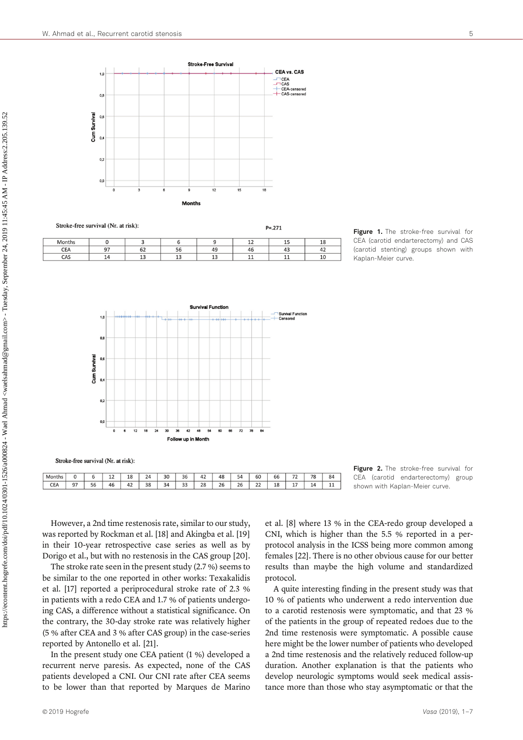$1,0$ 

 $\mathbf{a}$ 

 $\Omega$ 

 $\overline{0}$ 

CEA

 $CAS$ 

was reported by Rockman et al. [18] and Akingba et al. [19] in their 10-year retrospective case series as well as by Dorigo et al., but with no restenosis in the CAS group [20]. The stroke rate seen in the present study (2.7 %) seems to be similar to the one reported in other works: Texakalidis et al. [17] reported a periprocedural stroke rate of 2.3 %

However, a 2nd time restenosis rate, similar to our study,

 $\overline{24}$ 

 $\overline{38}$ 

 $\overline{30}$ 

 $\overline{34}$ 

 $\overline{36}$ 

 $\overline{33}$ 

 $42$  $\overline{48}$ 

 $\overline{28}$ 

 $\overline{26}$ 

 $\overline{54}$ 

 $\overline{26}$ 

60

 $\overline{22}$ 

 $66$ 

 $\overline{18}$ 

 $\overline{72}$ 

 $\overline{17}$ 

 $\overline{78}$ 

 $\overline{14}$ 

 $84$ 

 $\overline{11}$ 

Stroke-free survival (Nr. at risk):

 $\overline{6}$ 

 $\overline{56}$ 

 $\overline{12}$ 

 $46$ 

 $\overline{18}$ 

 $42$ 

Months

CEA

 $\overline{0}$ 

 $\overline{97}$ 

in patients with a redo CEA and 1.7 % of patients undergoing CAS, a difference without a statistical significance. On the contrary, the 30-day stroke rate was relatively higher (5 % after CEA and 3 % after CAS group) in the case-series reported by Antonello et al. [21].

In the present study one CEA patient (1 %) developed a recurrent nerve paresis. As expected, none of the CAS patients developed a CNI. Our CNI rate after CEA seems to be lower than that reported by Marques de Marino et al. [8] where 13 % in the CEA-redo group developed a CNI, which is higher than the 5.5 % reported in a perprotocol analysis in the ICSS being more common among females [22]. There is no other obvious cause for our better results than maybe the high volume and standardized protocol.

A quite interesting finding in the present study was that 10 % of patients who underwent a redo intervention due to a carotid restenosis were symptomatic, and that 23 % of the patients in the group of repeated redoes due to the 2nd time restenosis were symptomatic. A possible cause here might be the lower number of patients who developed a 2nd time restenosis and the relatively reduced follow-up duration. Another explanation is that the patients who develop neurologic symptoms would seek medical assistance more than those who stay asymptomatic or that the

Figure 1. The stroke-free survival for CEA (carotid endarterectomy) and CAS (carotid stenting) groups shown with Kaplan-Meier curve.

Figure 2. The stroke-free survival for CEA (carotid endarterectomy) group shown with Kaplan-Meier curve.



Stroke-Free Surviva

CEA vs. CAS

 $T = CEA$ <br> $T = CAA$ <br> $T = CAA$  censored





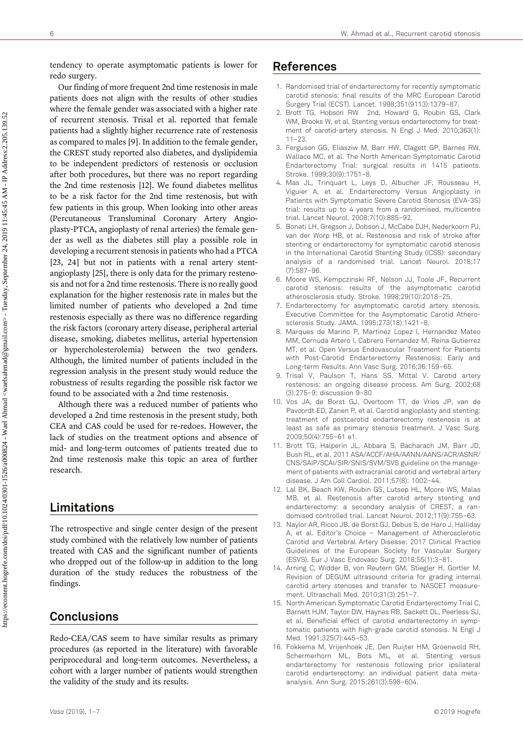tendency to operate asymptomatic patients is lower for redo surgery.

Our finding of more frequent 2nd time restenosis in male patients does not align with the results of other studies where the female gender was associated with a higher rate of recurrent stenosis. Trisal et al. reported that female patients had a slightly higher recurrence rate of restenosis as compared to males [9]. In addition to the female gender, the CREST study reported also diabetes, and dyslipidemia to be independent predictors of restenosis or occlusion after both procedures, but there was no report regarding the 2nd time restenosis [12]. We found diabetes mellitus to be a risk factor for the 2nd time restenosis, but with few patients in this group. When looking into other areas (Percutaneous Transluminal Coronary Artery Angioplasty-PTCA, angioplasty of renal arteries) the female gender as well as the diabetes still play a possible role in developing a recurrent stenosis in patients who had a PTCA [23, 24] but not in patients with a renal artery stentangioplasty [25], there is only data for the primary restenosis and not for a 2nd time restenosis. There is no really good explanation for the higher restenosis rate in males but the limited number of patients who developed a 2nd time restenosis especially as there was no difference regarding the risk factors (coronary artery disease, peripheral arterial disease, smoking, diabetes mellitus, arterial hypertension or hypercholesterolemia) between the two genders. Although, the limited number of patients included in the regression analysis in the present study would reduce the robustness of results regarding the possible risk factor we found to be associated with a 2nd time restenosis.

Although there was a reduced number of patients who developed a 2nd time restenosis in the present study, both CEA and CAS could be used for re-redoes. However, the lack of studies on the treatment options and absence of mid- and long-term outcomes of patients treated due to 2nd time restenosis make this topic an area of further research.

## Limitations

The retrospective and single center design of the present study combined with the relatively low number of patients treated with CAS and the significant number of patients who dropped out of the follow-up in addition to the long duration of the study reduces the robustness of the findings.

# **Conclusions**

Redo-CEA/CAS seem to have similar results as primary procedures (as reported in the literature) with favorable periprocedural and long-term outcomes. Nevertheless, a cohort with a larger number of patients would strengthen the validity of the study and its results.

- 1. Randomised trial of endarterectomy for recently symptomatic carotid stenosis: final results of the MRC European Carotid Surgery Trial (ECST). Lancet. 1998;351(9113):1379–87.
- 2. Brott TG, Hobson RW 2nd, Howard G, Roubin GS, Clark WM, Brooks W, et al. Stenting versus endarterectomy for treatment of carotid-artery stenosis. N Engl J Med. 2010;363(1): 11–23.
- 3. Ferguson GG, Eliasziw M, Barr HW, Clagett GP, Barnes RW, Wallace MC, et al. The North American Symptomatic Carotid Endarterectomy Trial: surgical results in 1415 patients. Stroke. 1999;30(9):1751–8.
- 4. Mas JL, Trinquart L, Leys D, Albucher JF, Rousseau H, Viguier A, et al. Endarterectomy Versus Angioplasty in Patients with Symptomatic Severe Carotid Stenosis (EVA-3S) trial: results up to 4 years from a randomised, multicentre trial. Lancet Neurol. 2008;7(10):885–92.
- 5. Bonati LH, Gregson J, Dobson J, McCabe DJH, Nederkoorn PJ, van der Worp HB, et al. Restenosis and risk of stroke after stenting or endarterectomy for symptomatic carotid stenosis in the International Carotid Stenting Study (ICSS): secondary analysis of a randomised trial. Lancet Neurol. 2018;17 (7):587–96.
- 6. Moore WS, Kempczinski RF, Nelson JJ, Toole JF, Recurrent carotid stenosis: results of the asymptomatic carotid atherosclerosis study. Stroke. 1998;29(10):2018–25.
- 7. Endarterectomy for asymptomatic carotid artery stenosis. Executive Committee for the Asymptomatic Carotid Atherosclerosis Study. JAMA. 1995;273(18):1421–8.
- 8. Marques de Marino P, Martinez Lopez I, Hernandez Mateo MM, Cernuda Artero I, Cabrero Fernandez M, Reina Gutierrez MT, et al. Open Versus Endovascular Treatment for Patients with Post-Carotid Endarterectomy Restenosis: Early and Long-term Results. Ann Vasc Surg. 2016;36:159–65.
- 9. Trisal V, Paulson T, Hans SS. Mittal V. Carotid artery restenosis: an ongoing disease process. Am Surg. 2002;68 (3):275–9; [discussion 9](http://dx.doi.org/)–80
- 10. Vos JA, de Borst GJ, Overtoom TT, de Vries JP, van de Pavoordt ED, Zanen P, et al. Carotid angioplasty and stenting: treatment of postcarotid endarterectomy restenosis is at least as safe as primary stenosis treatment. J Vasc Surg. 2009;50(4):755–61 e1.
- 11. Brott TG, Halperin JL, Abbara S, Bacharach JM, Barr JD, Bush RL, et al. 2011 ASA/ACCF/AHA/AANN/AANS/ACR/ASNR/ CNS/SAIP/SCAI/SIR/SNIS/SVM/SVS guideline on the management of patients with extracranial carotid and vertebral artery disease. J Am Coll Cardiol. 2011;57(8): 1002–44.
- 12. Lal BK, Beach KW, Roubin GS, Lutsep HL, Moore WS, Malas MB, et al. Restenosis after carotid artery stenting and endarterectomy: a secondary analysis of CREST, a randomised controlled trial. Lancet Neurol. 2012;11(9):755–63.
- 13. Naylor AR, Ricco JB, de Borst GJ, Debus S, de Haro J, Halliday A, et al. Editor's Choice – Management of Atherosclerotic Carotid and Vertebral Artery Disease: 2017 Clinical Practice Guidelines of the European Society for Vascular Surgery (ESVS). Eur J Vasc Endovasc Surg. 2018;55(1):3–81.
- 14. Arning C, Widder B, von Reutern GM, Stiegler H, Gortler M. Revision of DEGUM ultrasound criteria for grading internal carotid artery stenoses and transfer to NASCET measurement. Ultraschall Med. 2010;31(3):251–7.
- 15. North American Symptomatic Carotid Endarterectomy Trial C, Barnett HJM, Taylor DW, Haynes RB, Sackett DL, Peerless SJ, et al. Beneficial effect of carotid endarterectomy in symptomatic patients with high-grade carotid stenosis. N Engl J Med. 1991;325(7):445–53.
- 16. Fokkema M, Vrijenhoek JE, Den Ruijter HM, Groenwold RH, Schermerhorn ML, Bots ML, et al. Stenting versus endarterectomy for restenosis following prior ipsilateral carotid endarterectomy: an individual patient data metaanalysis. Ann Surg. 2015;261(3):598–604.